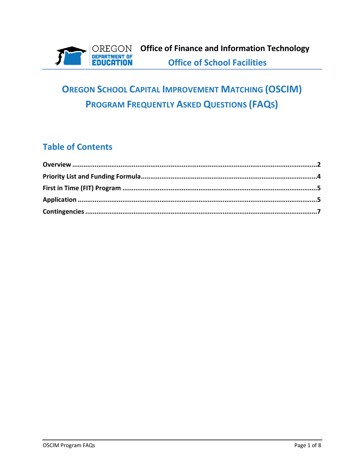

# **OREGON SCHOOL CAPITAL IMPROVEMENT MATCHING (OSCIM) PROGRAM FREQUENTLY ASKED QUESTIONS (FAQS)**

## **Table of Contents**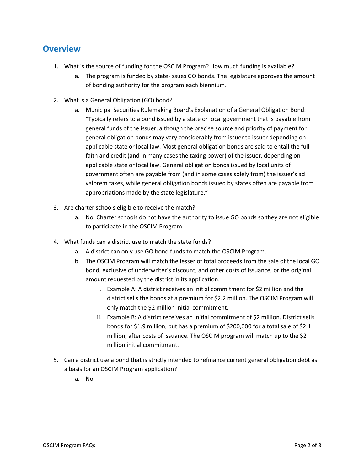#### <span id="page-1-0"></span>**Overview**

- 1. What is the source of funding for the OSCIM Program? How much funding is available?
	- a. The program is funded by state-issues GO bonds. The legislature approves the amount of bonding authority for the program each biennium.
- 2. What is a General Obligation (GO) bond?
	- a. Municipal Securities Rulemaking Board's Explanation of a General Obligation Bond: "Typically refers to a bond issued by a state or local government that is payable from general funds of the issuer, although the precise source and priority of payment for general obligation bonds may vary considerably from issuer to issuer depending on applicable state or local law. Most general obligation bonds are said to entail the full faith and credit (and in many cases the taxing power) of the issuer, depending on applicable state or local law. General obligation bonds issued by local units of government often are payable from (and in some cases solely from) the issuer's ad valorem taxes, while general obligation bonds issued by states often are payable from appropriations made by the state legislature."
- 3. Are charter schools eligible to receive the match?
	- a. No. Charter schools do not have the authority to issue GO bonds so they are not eligible to participate in the OSCIM Program.
- 4. What funds can a district use to match the state funds?
	- a. A district can only use GO bond funds to match the OSCIM Program.
	- b. The OSCIM Program will match the lesser of total proceeds from the sale of the local GO bond, exclusive of underwriter's discount, and other costs of issuance, or the original amount requested by the district in its application.
		- i. Example A: A district receives an initial commitment for \$2 million and the district sells the bonds at a premium for \$2.2 million. The OSCIM Program will only match the \$2 million initial commitment.
		- ii. Example B: A district receives an initial commitment of \$2 million. District sells bonds for \$1.9 million, but has a premium of \$200,000 for a total sale of \$2.1 million, after costs of issuance. The OSCIM program will match up to the \$2 million initial commitment.
- 5. Can a district use a bond that is strictly intended to refinance current general obligation debt as a basis for an OSCIM Program application?
	- a. No.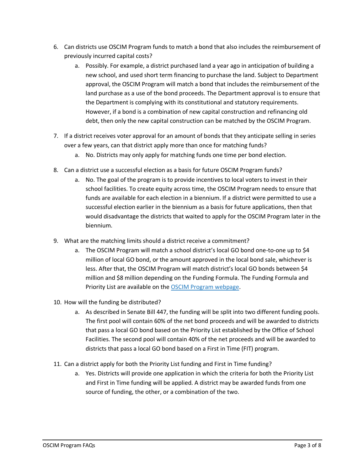- 6. Can districts use OSCIM Program funds to match a bond that also includes the reimbursement of previously incurred capital costs?
	- a. Possibly. For example, a district purchased land a year ago in anticipation of building a new school, and used short term financing to purchase the land. Subject to Department approval, the OSCIM Program will match a bond that includes the reimbursement of the land purchase as a use of the bond proceeds. The Department approval is to ensure that the Department is complying with its constitutional and statutory requirements. However, if a bond is a combination of new capital construction and refinancing old debt, then only the new capital construction can be matched by the OSCIM Program.
- 7. If a district receives voter approval for an amount of bonds that they anticipate selling in series over a few years, can that district apply more than once for matching funds?
	- a. No. Districts may only apply for matching funds one time per bond election.
- 8. Can a district use a successful election as a basis for future OSCIM Program funds?
	- a. No. The goal of the program is to provide incentives to local voters to invest in their school facilities. To create equity across time, the OSCIM Program needs to ensure that funds are available for each election in a biennium. If a district were permitted to use a successful election earlier in the biennium as a basis for future applications, then that would disadvantage the districts that waited to apply for the OSCIM Program later in the biennium.
- 9. What are the matching limits should a district receive a commitment?
	- a. The OSCIM Program will match a school district's local GO bond one-to-one up to \$4 million of local GO bond, or the amount approved in the local bond sale, whichever is less. After that, the OSCIM Program will match district's local GO bonds between \$4 million and \$8 million depending on the Funding Formula. The Funding Formula and Priority List are available on the OSCIM Program [webpage.](https://www.oregon.gov/ode/schools-and-districts/grants/Pages/OSCIM-Program.aspx)
- 10. How will the funding be distributed?
	- a. As described in Senate Bill 447, the funding will be split into two different funding pools. The first pool will contain 60% of the net bond proceeds and will be awarded to districts that pass a local GO bond based on the Priority List established by the Office of School Facilities. The second pool will contain 40% of the net proceeds and will be awarded to districts that pass a local GO bond based on a First in Time (FIT) program.
- 11. Can a district apply for both the Priority List funding and First in Time funding?
	- a. Yes. Districts will provide one application in which the criteria for both the Priority List and First in Time funding will be applied. A district may be awarded funds from one source of funding, the other, or a combination of the two.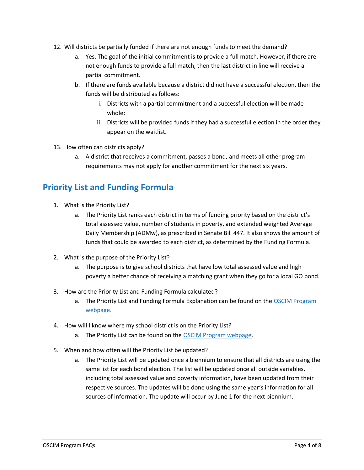- 12. Will districts be partially funded if there are not enough funds to meet the demand?
	- a. Yes. The goal of the initial commitment is to provide a full match. However, if there are not enough funds to provide a full match, then the last district in line will receive a partial commitment.
	- b. If there are funds available because a district did not have a successful election, then the funds will be distributed as follows:
		- i. Districts with a partial commitment and a successful election will be made whole;
		- ii. Districts will be provided funds if they had a successful election in the order they appear on the waitlist.
- 13. How often can districts apply?
	- a. A district that receives a commitment, passes a bond, and meets all other program requirements may not apply for another commitment for the next six years.

## <span id="page-3-0"></span>**Priority List and Funding Formula**

- 1. What is the Priority List?
	- a. The Priority List ranks each district in terms of funding priority based on the district's total assessed value, number of students in poverty, and extended weighted Average Daily Membership (ADMw), as prescribed in Senate Bill 447. It also shows the amount of funds that could be awarded to each district, as determined by the Funding Formula.
- 2. What is the purpose of the Priority List?
	- a. The purpose is to give school districts that have low total assessed value and high poverty a better chance of receiving a matching grant when they go for a local GO bond.
- 3. How are the Priority List and Funding Formula calculated?
	- a. The Priority List and Funding Formula Explanation can be found on the [OSCIM Program](https://www.oregon.gov/ode/schools-and-districts/grants/Pages/OSCIM-Program.aspx)  [webpage.](https://www.oregon.gov/ode/schools-and-districts/grants/Pages/OSCIM-Program.aspx)
- 4. How will I know where my school district is on the Priority List?
	- a. The Priority List can be found on the [OSCIM Program webpage.](https://www.oregon.gov/ode/schools-and-districts/grants/Pages/OSCIM-Program.aspx)
- 5. When and how often will the Priority List be updated?
	- a. The Priority List will be updated once a biennium to ensure that all districts are using the same list for each bond election. The list will be updated once all outside variables, including total assessed value and poverty information, have been updated from their respective sources. The updates will be done using the same year's information for all sources of information. The update will occur by June 1 for the next biennium.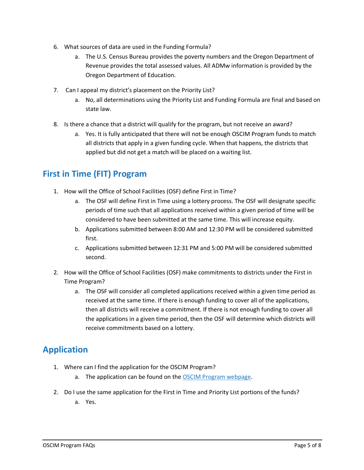- 6. What sources of data are used in the Funding Formula?
	- a. The U.S. Census Bureau provides the poverty numbers and the Oregon Department of Revenue provides the total assessed values. All ADMw information is provided by the Oregon Department of Education.
- 7. Can I appeal my district's placement on the Priority List?
	- a. No, all determinations using the Priority List and Funding Formula are final and based on state law.
- 8. Is there a chance that a district will qualify for the program, but not receive an award?
	- a. Yes. It is fully anticipated that there will not be enough OSCIM Program funds to match all districts that apply in a given funding cycle. When that happens, the districts that applied but did not get a match will be placed on a waiting list.

#### <span id="page-4-0"></span>**First in Time (FIT) Program**

- 1. How will the Office of School Facilities (OSF) define First in Time?
	- a. The OSF will define First in Time using a lottery process. The OSF will designate specific periods of time such that all applications received within a given period of time will be considered to have been submitted at the same time. This will increase equity.
	- b. Applications submitted between 8:00 AM and 12:30 PM will be considered submitted first.
	- c. Applications submitted between 12:31 PM and 5:00 PM will be considered submitted second.
- 2. How will the Office of School Facilities (OSF) make commitments to districts under the First in Time Program?
	- a. The OSF will consider all completed applications received within a given time period as received at the same time. If there is enough funding to cover all of the applications, then all districts will receive a commitment. If there is not enough funding to cover all the applications in a given time period, then the OSF will determine which districts will receive commitments based on a lottery.

## <span id="page-4-1"></span>**Application**

- 1. Where can I find the application for the OSCIM Program?
	- a. The application can be found on the [OSCIM Program webpage.](https://www.oregon.gov/ode/schools-and-districts/grants/Pages/OSCIM-Program.aspx)
- 2. Do I use the same application for the First in Time and Priority List portions of the funds?
	- a. Yes.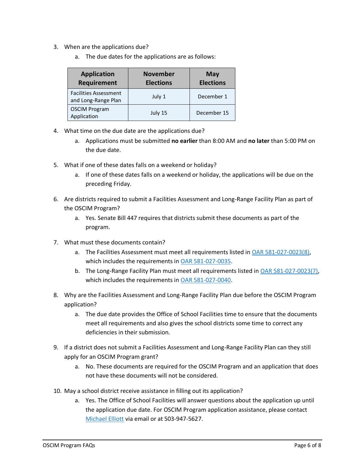- 3. When are the applications due?
	- a. The due dates for the applications are as follows:

| <b>Application</b><br><b>Requirement</b>            | <b>November</b><br><b>Elections</b> | <b>May</b><br><b>Elections</b> |
|-----------------------------------------------------|-------------------------------------|--------------------------------|
| <b>Facilities Assessment</b><br>and Long-Range Plan | July 1                              | December 1                     |
| <b>OSCIM Program</b><br>Application                 | July 15                             | December 15                    |

- 4. What time on the due date are the applications due?
	- a. Applications must be submitted **no earlier** than 8:00 AM and **no later** than 5:00 PM on the due date.
- 5. What if one of these dates falls on a weekend or holiday?
	- a. If one of these dates falls on a weekend or holiday, the applications will be due on the preceding Friday.
- 6. Are districts required to submit a Facilities Assessment and Long-Range Facility Plan as part of the OSCIM Program?
	- a. Yes. Senate Bill 447 requires that districts submit these documents as part of the program.
- 7. What must these documents contain?
	- a. The Facilities Assessment must meet all requirements listed in [OAR 581-027-0023\(8\),](https://secure.sos.state.or.us/oard/view.action?ruleNumber=581-027-0023) which includes the requirements in [OAR 581-027-0035.](https://secure.sos.state.or.us/oard/view.action?ruleNumber=581-027-0035)
	- b. The Long-Range Facility Plan must meet all requirements listed in [OAR 581-027-0023\(7\),](https://secure.sos.state.or.us/oard/view.action?ruleNumber=581-027-0023) which includes the requirements in [OAR 581-027-0040.](https://secure.sos.state.or.us/oard/view.action?ruleNumber=581-027-0040)
- 8. Why are the Facilities Assessment and Long-Range Facility Plan due before the OSCIM Program application?
	- a. The due date provides the Office of School Facilities time to ensure that the documents meet all requirements and also gives the school districts some time to correct any deficiencies in their submission.
- 9. If a district does not submit a Facilities Assessment and Long-Range Facility Plan can they still apply for an OSCIM Program grant?
	- a. No. These documents are required for the OSCIM Program and an application that does not have these documents will not be considered.
- 10. May a school district receive assistance in filling out its application?
	- a. Yes. The Office of School Facilities will answer questions about the application up until the application due date. For OSCIM Program application assistance, please contact [Michael Elliott](mailto:Michael.S.Elliott@ode.state.or.us) via email or at 503-947-5627.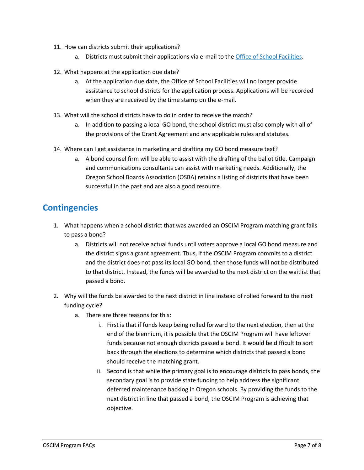- 11. How can districts submit their applications?
	- a. Districts must submit their applications via e-mail to the [Office of School Facilities.](mailto:ode.schoolfacilities@ode.state.or.us)
- 12. What happens at the application due date?
	- a. At the application due date, the Office of School Facilities will no longer provide assistance to school districts for the application process. Applications will be recorded when they are received by the time stamp on the e-mail.
- 13. What will the school districts have to do in order to receive the match?
	- a. In addition to passing a local GO bond, the school district must also comply with all of the provisions of the Grant Agreement and any applicable rules and statutes.
- 14. Where can I get assistance in marketing and drafting my GO bond measure text?
	- a. A bond counsel firm will be able to assist with the drafting of the ballot title. Campaign and communications consultants can assist with marketing needs. Additionally, the Oregon School Boards Association (OSBA) retains a listing of districts that have been successful in the past and are also a good resource.

#### <span id="page-6-0"></span>**Contingencies**

- 1. What happens when a school district that was awarded an OSCIM Program matching grant fails to pass a bond?
	- a. Districts will not receive actual funds until voters approve a local GO bond measure and the district signs a grant agreement. Thus, if the OSCIM Program commits to a district and the district does not pass its local GO bond, then those funds will not be distributed to that district. Instead, the funds will be awarded to the next district on the waitlist that passed a bond.
- 2. Why will the funds be awarded to the next district in line instead of rolled forward to the next funding cycle?
	- a. There are three reasons for this:
		- i. First is that if funds keep being rolled forward to the next election, then at the end of the biennium, it is possible that the OSCIM Program will have leftover funds because not enough districts passed a bond. It would be difficult to sort back through the elections to determine which districts that passed a bond should receive the matching grant.
		- ii. Second is that while the primary goal is to encourage districts to pass bonds, the secondary goal is to provide state funding to help address the significant deferred maintenance backlog in Oregon schools. By providing the funds to the next district in line that passed a bond, the OSCIM Program is achieving that objective.